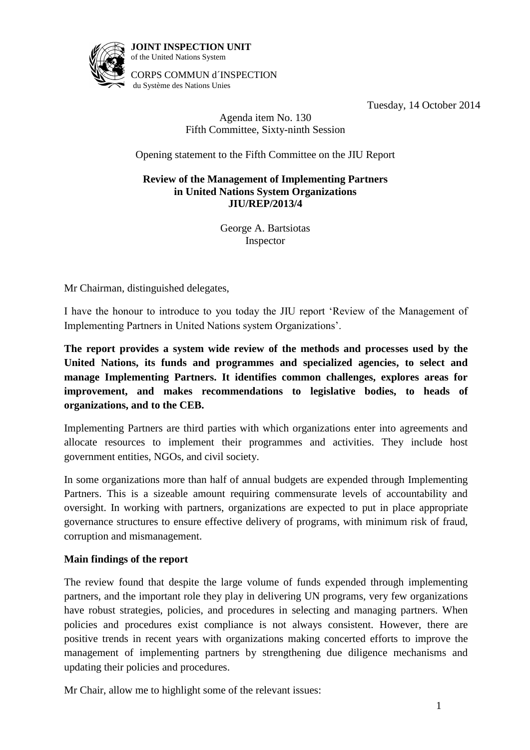

**JOINT INSPECTION UNIT** of the United Nations System

CORPS COMMUN d´INSPECTION du Système des Nations Unies

Tuesday, 14 October 2014

# Agenda item No. 130 Fifth Committee, Sixty-ninth Session

Opening statement to the Fifth Committee on the JIU Report

## **Review of the Management of Implementing Partners in United Nations System Organizations JIU/REP/2013/4**

George A. Bartsiotas Inspector

Mr Chairman, distinguished delegates,

I have the honour to introduce to you today the JIU report 'Review of the Management of Implementing Partners in United Nations system Organizations'.

**The report provides a system wide review of the methods and processes used by the United Nations, its funds and programmes and specialized agencies, to select and manage Implementing Partners. It identifies common challenges, explores areas for improvement, and makes recommendations to legislative bodies, to heads of organizations, and to the CEB.**

Implementing Partners are third parties with which organizations enter into agreements and allocate resources to implement their programmes and activities. They include host government entities, NGOs, and civil society.

In some organizations more than half of annual budgets are expended through Implementing Partners. This is a sizeable amount requiring commensurate levels of accountability and oversight. In working with partners, organizations are expected to put in place appropriate governance structures to ensure effective delivery of programs, with minimum risk of fraud, corruption and mismanagement.

## **Main findings of the report**

The review found that despite the large volume of funds expended through implementing partners, and the important role they play in delivering UN programs, very few organizations have robust strategies, policies, and procedures in selecting and managing partners. When policies and procedures exist compliance is not always consistent. However, there are positive trends in recent years with organizations making concerted efforts to improve the management of implementing partners by strengthening due diligence mechanisms and updating their policies and procedures.

Mr Chair, allow me to highlight some of the relevant issues: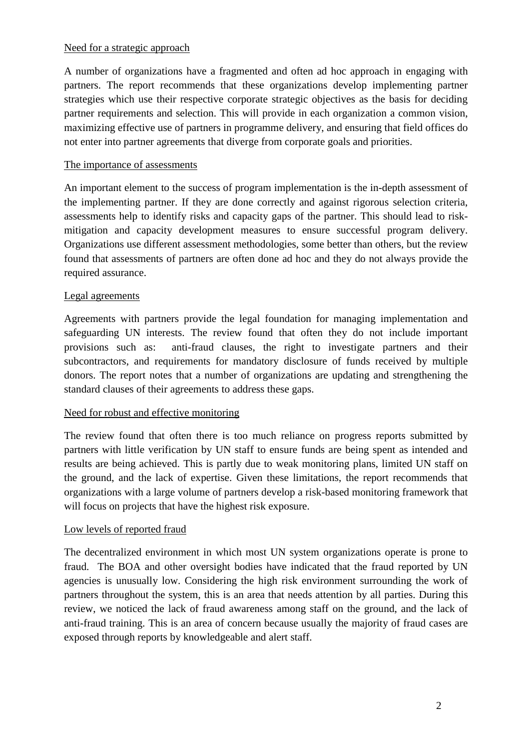## Need for a strategic approach

A number of organizations have a fragmented and often ad hoc approach in engaging with partners. The report recommends that these organizations develop implementing partner strategies which use their respective corporate strategic objectives as the basis for deciding partner requirements and selection. This will provide in each organization a common vision, maximizing effective use of partners in programme delivery, and ensuring that field offices do not enter into partner agreements that diverge from corporate goals and priorities.

## The importance of assessments

An important element to the success of program implementation is the in-depth assessment of the implementing partner. If they are done correctly and against rigorous selection criteria, assessments help to identify risks and capacity gaps of the partner. This should lead to riskmitigation and capacity development measures to ensure successful program delivery. Organizations use different assessment methodologies, some better than others, but the review found that assessments of partners are often done ad hoc and they do not always provide the required assurance.

## Legal agreements

Agreements with partners provide the legal foundation for managing implementation and safeguarding UN interests. The review found that often they do not include important provisions such as: anti-fraud clauses, the right to investigate partners and their subcontractors, and requirements for mandatory disclosure of funds received by multiple donors. The report notes that a number of organizations are updating and strengthening the standard clauses of their agreements to address these gaps.

#### Need for robust and effective monitoring

The review found that often there is too much reliance on progress reports submitted by partners with little verification by UN staff to ensure funds are being spent as intended and results are being achieved. This is partly due to weak monitoring plans, limited UN staff on the ground, and the lack of expertise. Given these limitations, the report recommends that organizations with a large volume of partners develop a risk-based monitoring framework that will focus on projects that have the highest risk exposure.

## Low levels of reported fraud

The decentralized environment in which most UN system organizations operate is prone to fraud. The BOA and other oversight bodies have indicated that the fraud reported by UN agencies is unusually low. Considering the high risk environment surrounding the work of partners throughout the system, this is an area that needs attention by all parties. During this review, we noticed the lack of fraud awareness among staff on the ground, and the lack of anti-fraud training. This is an area of concern because usually the majority of fraud cases are exposed through reports by knowledgeable and alert staff.